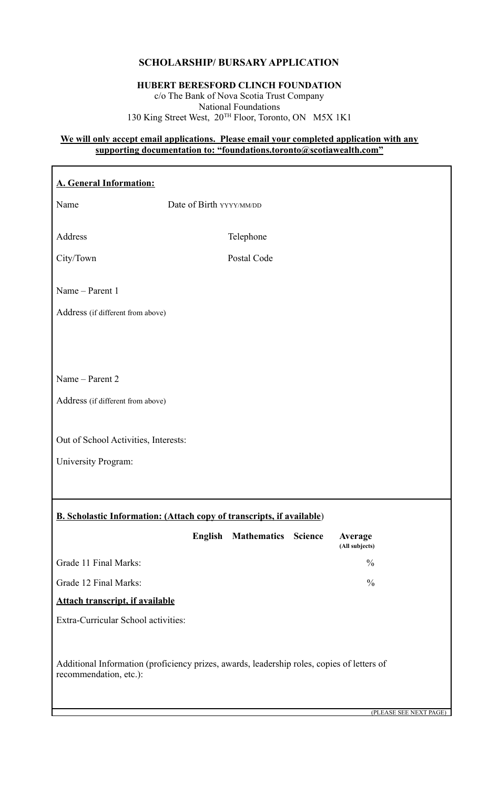# **SCHOLARSHIP/ BURSARY APPLICATION**

### **HUBERT BERESFORD CLINCH FOUNDATION** c/o The Bank of Nova Scotia Trust Company National Foundations

130 King Street West, 20TH Floor, Toronto, ON M5X 1K1

#### **We will only accept email applications. Please email your completed application with any supporting documentation to: "foundations.toronto@scotiawealth.com"**

| <b>A. General Information:</b>                                                                                       |                          |                            |  |                           |                        |  |
|----------------------------------------------------------------------------------------------------------------------|--------------------------|----------------------------|--|---------------------------|------------------------|--|
| Name                                                                                                                 | Date of Birth YYYY/MM/DD |                            |  |                           |                        |  |
| Address                                                                                                              |                          |                            |  |                           |                        |  |
|                                                                                                                      |                          | Telephone                  |  |                           |                        |  |
| City/Town                                                                                                            |                          | Postal Code                |  |                           |                        |  |
| Name - Parent 1                                                                                                      |                          |                            |  |                           |                        |  |
| Address (if different from above)                                                                                    |                          |                            |  |                           |                        |  |
|                                                                                                                      |                          |                            |  |                           |                        |  |
|                                                                                                                      |                          |                            |  |                           |                        |  |
| Name - Parent 2                                                                                                      |                          |                            |  |                           |                        |  |
| Address (if different from above)                                                                                    |                          |                            |  |                           |                        |  |
|                                                                                                                      |                          |                            |  |                           |                        |  |
| Out of School Activities, Interests:                                                                                 |                          |                            |  |                           |                        |  |
| University Program:                                                                                                  |                          |                            |  |                           |                        |  |
|                                                                                                                      |                          |                            |  |                           |                        |  |
|                                                                                                                      |                          |                            |  |                           |                        |  |
| <b>B. Scholastic Information: (Attach copy of transcripts, if available)</b>                                         |                          |                            |  |                           |                        |  |
|                                                                                                                      | English                  | <b>Mathematics Science</b> |  | Average<br>(All subjects) |                        |  |
| Grade 11 Final Marks:                                                                                                |                          |                            |  | $\frac{0}{0}$             |                        |  |
| Grade 12 Final Marks:                                                                                                |                          |                            |  | $\frac{0}{0}$             |                        |  |
| <b>Attach transcript, if available</b>                                                                               |                          |                            |  |                           |                        |  |
| Extra-Curricular School activities:                                                                                  |                          |                            |  |                           |                        |  |
|                                                                                                                      |                          |                            |  |                           |                        |  |
| Additional Information (proficiency prizes, awards, leadership roles, copies of letters of<br>recommendation, etc.): |                          |                            |  |                           |                        |  |
|                                                                                                                      |                          |                            |  |                           |                        |  |
|                                                                                                                      |                          |                            |  |                           | (PLEASE SEE NEXT PAGE) |  |